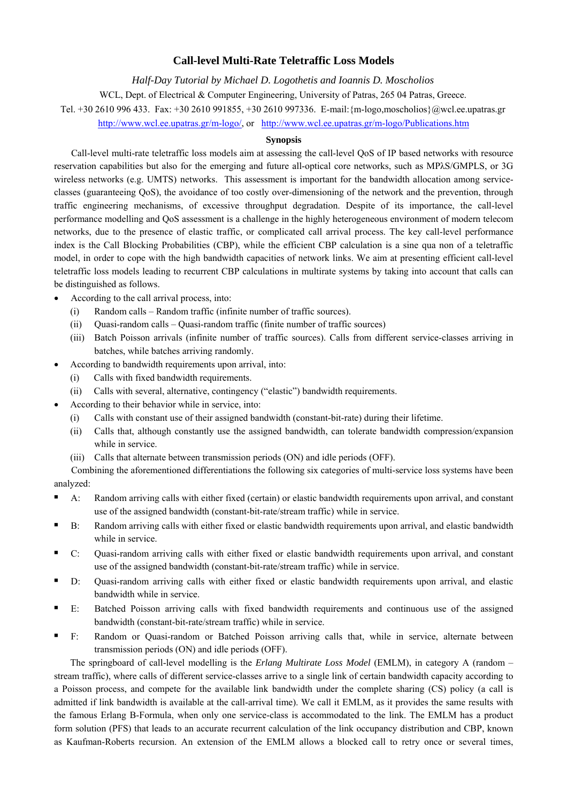# **Call-level Multi-Rate Teletraffic Loss Models**

*Half-Day Tutorial by Michael D. Logothetis and Ioannis D. Moscholios*  WCL, Dept. of Electrical & Computer Engineering, University of Patras, 265 04 Patras, Greece. Tel. +30 2610 996 433. Fax: +30 2610 991855, +30 2610 997336. E-mail:{m-logo,moscholios}@wcl.ee.upatras.gr http://www.wcl.ee.upatras.gr/m-logo/, or http://www.wcl.ee.upatras.gr/m-logo/Publications.htm

# **Synopsis**

Call-level multi-rate teletraffic loss models aim at assessing the call-level QoS of IP based networks with resource reservation capabilities but also for the emerging and future all-optical core networks, such as MPλS/GMPLS, or 3G wireless networks (e.g. UMTS) networks. This assessment is important for the bandwidth allocation among serviceclasses (guaranteeing QoS), the avoidance of too costly over-dimensioning of the network and the prevention, through traffic engineering mechanisms, of excessive throughput degradation. Despite of its importance, the call-level performance modelling and QoS assessment is a challenge in the highly heterogeneous environment of modern telecom networks, due to the presence of elastic traffic, or complicated call arrival process. The key call-level performance index is the Call Blocking Probabilities (CBP), while the efficient CBP calculation is a sine qua non of a teletraffic model, in order to cope with the high bandwidth capacities of network links. We aim at presenting efficient call-level teletraffic loss models leading to recurrent CBP calculations in multirate systems by taking into account that calls can be distinguished as follows.

- According to the call arrival process, into:
	- (i) Random calls Random traffic (infinite number of traffic sources).
	- (ii) Quasi-random calls Quasi-random traffic (finite number of traffic sources)
	- (iii) Batch Poisson arrivals (infinite number of traffic sources). Calls from different service-classes arriving in batches, while batches arriving randomly.
	- According to bandwidth requirements upon arrival, into:
	- (i) Calls with fixed bandwidth requirements.
		- (ii) Calls with several, alternative, contingency ("elastic") bandwidth requirements.
- According to their behavior while in service, into:
	- (i) Calls with constant use of their assigned bandwidth (constant-bit-rate) during their lifetime.
	- (ii) Calls that, although constantly use the assigned bandwidth, can tolerate bandwidth compression/expansion while in service.
	- (iii) Calls that alternate between transmission periods (ON) and idle periods (OFF).
- Combining the aforementioned differentiations the following six categories of multi-service loss systems have been analyzed:
- A: Random arriving calls with either fixed (certain) or elastic bandwidth requirements upon arrival, and constant use of the assigned bandwidth (constant-bit-rate/stream traffic) while in service.
- B: Random arriving calls with either fixed or elastic bandwidth requirements upon arrival, and elastic bandwidth while in service.
- C: Quasi-random arriving calls with either fixed or elastic bandwidth requirements upon arrival, and constant use of the assigned bandwidth (constant-bit-rate/stream traffic) while in service.
- D: Quasi-random arriving calls with either fixed or elastic bandwidth requirements upon arrival, and elastic bandwidth while in service.
- E: Batched Poisson arriving calls with fixed bandwidth requirements and continuous use of the assigned bandwidth (constant-bit-rate/stream traffic) while in service.
- F: Random or Quasi-random or Batched Poisson arriving calls that, while in service, alternate between transmission periods (ON) and idle periods (OFF).

The springboard of call-level modelling is the *Erlang Multirate Loss Model* (EMLM), in category A (random – stream traffic), where calls of different service-classes arrive to a single link of certain bandwidth capacity according to a Poisson process, and compete for the available link bandwidth under the complete sharing (CS) policy (a call is admitted if link bandwidth is available at the call-arrival time). We call it EMLM, as it provides the same results with the famous Erlang B-Formula, when only one service-class is accommodated to the link. The EMLM has a product form solution (PFS) that leads to an accurate recurrent calculation of the link occupancy distribution and CBP, known as Kaufman-Roberts recursion. An extension of the EMLM allows a blocked call to retry once or several times,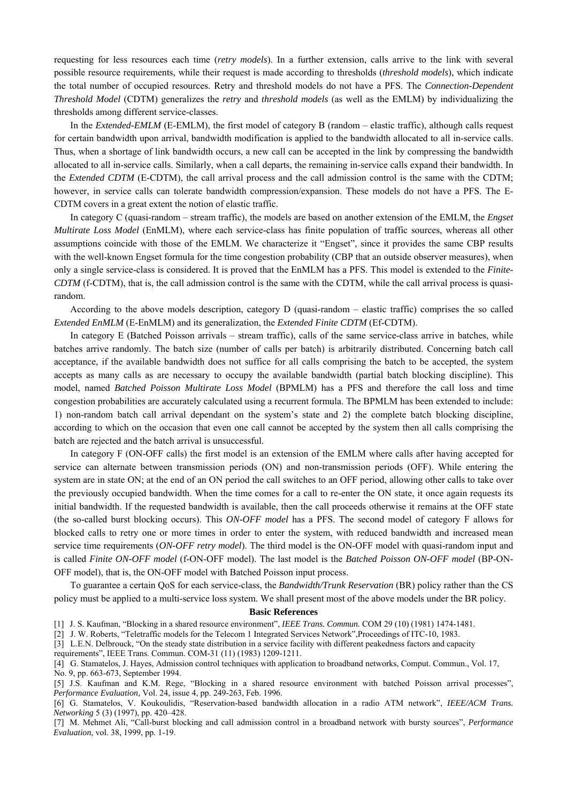requesting for less resources each time (*retry models*). In a further extension, calls arrive to the link with several possible resource requirements, while their request is made according to thresholds (*threshold models*), which indicate the total number of occupied resources. Retry and threshold models do not have a PFS. The *Connection-Dependent Threshold Model* (CDTM) generalizes the *retry* and *threshold models* (as well as the EMLM) by individualizing the thresholds among different service-classes.

In the *Extended-EMLM* (E-EMLM), the first model of category B (random – elastic traffic), although calls request for certain bandwidth upon arrival, bandwidth modification is applied to the bandwidth allocated to all in-service calls. Thus, when a shortage of link bandwidth occurs, a new call can be accepted in the link by compressing the bandwidth allocated to all in-service calls. Similarly, when a call departs, the remaining in-service calls expand their bandwidth. In the *Extended CDTM* (E-CDTM), the call arrival process and the call admission control is the same with the CDTM; however, in service calls can tolerate bandwidth compression/expansion. These models do not have a PFS. The E-CDTM covers in a great extent the notion of elastic traffic.

In category C (quasi-random – stream traffic), the models are based on another extension of the EMLM, the *Engset Multirate Loss Model* (EnMLM), where each service-class has finite population of traffic sources, whereas all other assumptions coincide with those of the EMLM. We characterize it "Engset", since it provides the same CBP results with the well-known Engset formula for the time congestion probability (CBP that an outside observer measures), when only a single service-class is considered. It is proved that the EnMLM has a PFS. This model is extended to the *Finite-CDTM* (f-CDTM), that is, the call admission control is the same with the CDTM, while the call arrival process is quasirandom.

According to the above models description, category D (quasi-random – elastic traffic) comprises the so called *Extended EnMLM* (E-EnMLM) and its generalization, the *Extended Finite CDTM* (Ef-CDTM).

In category E (Batched Poisson arrivals – stream traffic), calls of the same service-class arrive in batches, while batches arrive randomly. The batch size (number of calls per batch) is arbitrarily distributed. Concerning batch call acceptance, if the available bandwidth does not suffice for all calls comprising the batch to be accepted, the system accepts as many calls as are necessary to occupy the available bandwidth (partial batch blocking discipline). This model, named *Batched Poisson Multirate Loss Model* (BPMLM) has a PFS and therefore the call loss and time congestion probabilities are accurately calculated using a recurrent formula. The BPMLM has been extended to include: 1) non-random batch call arrival dependant on the system's state and 2) the complete batch blocking discipline, according to which on the occasion that even one call cannot be accepted by the system then all calls comprising the batch are rejected and the batch arrival is unsuccessful.

In category F (ON-OFF calls) the first model is an extension of the EMLM where calls after having accepted for service can alternate between transmission periods (ON) and non-transmission periods (OFF). While entering the system are in state ON; at the end of an ON period the call switches to an OFF period, allowing other calls to take over the previously occupied bandwidth. When the time comes for a call to re-enter the ON state, it once again requests its initial bandwidth. If the requested bandwidth is available, then the call proceeds otherwise it remains at the OFF state (the so-called burst blocking occurs). This *ON-OFF model* has a PFS. The second model of category F allows for blocked calls to retry one or more times in order to enter the system, with reduced bandwidth and increased mean service time requirements (*ON-OFF retry model*). The third model is the ON-OFF model with quasi-random input and is called *Finite ON-OFF model* (f-ON-OFF model). The last model is the *Batched Poisson ON-OFF model* (BP-ON-OFF model), that is, the ON-OFF model with Batched Poisson input process.

To guarantee a certain QoS for each service-class, the *Bandwidth/Trunk Reservation* (BR) policy rather than the CS policy must be applied to a multi-service loss system. We shall present most of the above models under the BR policy.

#### **Basic References**

- [1] J. S. Kaufman, "Blocking in a shared resource environment", *IEEE Trans. Commun.* COM 29 (10) (1981) 1474-1481.
- [2] J. W. Roberts, "Teletraffic models for the Telecom 1 Integrated Services Network",Proceedings of ITC-10, 1983.
- [3] L.E.N. Delbrouck, "On the steady state distribution in a service facility with different peakedness factors and capacity
- requirements", IEEE Trans. Commun. COM-31 (11) (1983) 1209-1211.
- [4] G. Stamatelos, J. Hayes, Admission control techniques with application to broadband networks, Comput. Commun., Vol. 17,
- No. 9, pp. 663-673, September 1994.
- [5] J.S. Kaufman and K.M. Rege, "Blocking in a shared resource environment with batched Poisson arrival processes", *Performance Evaluation,* Vol. 24, issue 4, pp. 249-263, Feb. 1996.

[6] G. Stamatelos, V. Koukoulidis, "Reservation-based bandwidth allocation in a radio ATM network", *IEEE/ACM Trans. Networking* 5 (3) (1997), pp. 420–428.

[7] M. Mehmet Ali, "Call-burst blocking and call admission control in a broadband network with bursty sources", *Performance Evaluation*, vol. 38, 1999, pp. 1-19.